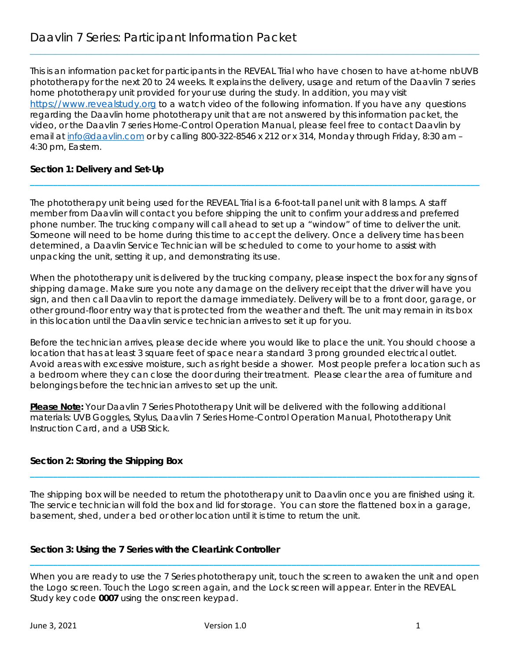This is an information packet for participants in the REVEAL Trial who have chosen to have at-home nbUVB phototherapy for the next 20 to 24 weeks. It explains the delivery, usage and return of the Daavlin 7 series home phototherapy unit provided for your use during the study. In addition, you may visit https://www.revealstudy.org to a watch video of the following information. If you have any questions regarding the Daavlin home phototherapy unit that are not answered by this information packet, the video, or the Daavlin 7 series Home-Control Operation Manual, please feel free to contact Daavlin by email at info@daavlin.com or by calling 800-322-8546 x 212 or x 314, Monday through Friday, 8:30 am – 4:30 pm, Eastern.

**\_\_\_\_\_\_\_\_\_\_\_\_\_\_\_\_\_\_\_\_\_\_\_\_\_\_\_\_\_\_\_\_\_\_\_\_\_\_\_\_\_\_\_\_\_\_\_\_\_\_\_\_\_\_\_\_\_\_\_\_\_\_\_\_\_\_\_\_\_\_\_\_\_\_\_\_\_\_\_\_\_\_\_\_\_\_\_\_\_\_\_\_\_\_\_\_\_\_** 

 $\mathcal{L}_\mathcal{L} = \mathcal{L}_\mathcal{L} = \mathcal{L}_\mathcal{L} = \mathcal{L}_\mathcal{L} = \mathcal{L}_\mathcal{L} = \mathcal{L}_\mathcal{L} = \mathcal{L}_\mathcal{L} = \mathcal{L}_\mathcal{L} = \mathcal{L}_\mathcal{L} = \mathcal{L}_\mathcal{L} = \mathcal{L}_\mathcal{L} = \mathcal{L}_\mathcal{L} = \mathcal{L}_\mathcal{L} = \mathcal{L}_\mathcal{L} = \mathcal{L}_\mathcal{L} = \mathcal{L}_\mathcal{L} = \mathcal{L}_\mathcal{L}$ 

# **Section 1: Delivery and Set-Up**

The phototherapy unit being used for the REVEAL Trial is a 6-foot-tall panel unit with 8 lamps. A staff member from Daavlin will contact you before shipping the unit to confirm your address and preferred phone number. The trucking company will call ahead to set up a "window" of time to deliver the unit. Someone will need to be home during this time to accept the delivery. Once a delivery time has been determined, a Daavlin Service Technician will be scheduled to come to your home to assist with unpacking the unit, setting it up, and demonstrating its use.

When the phototherapy unit is delivered by the trucking company, please inspect the box for any signs of shipping damage. Make sure you note any damage on the delivery receipt that the driver will have you sign, and then call Daavlin to report the damage immediately. Delivery will be to a front door, garage, or other ground-floor entry way that is protected from the weather and theft. The unit may remain in its box in this location until the Daavlin service technician arrives to set it up for you.

Before the technician arrives, please decide where you would like to place the unit. You should choose a location that has at least 3 square feet of space near a standard 3 prong grounded electrical outlet. Avoid areas with excessive moisture, such as right beside a shower. Most people prefer a location such as a bedroom where they can close the door during their treatment. Please clear the area of furniture and belongings before the technician arrives to set up the unit.

**Please Note:** Your Daavlin 7 Series Phototherapy Unit will be delivered with the following additional materials: UVB Goggles, Stylus, Daavlin 7 Series Home-Control Operation Manual, Phototherapy Unit Instruction Card, and a USB Stick.

# **Section 2: Storing the Shipping Box**

The shipping box will be needed to return the phototherapy unit to Daavlin once you are finished using it. The service technician will fold the box and lid for storage. You can store the flattened box in a garage, basement, shed, under a bed or other location until it is time to return the unit.

**\_\_\_\_\_\_\_\_\_\_\_\_\_\_\_\_\_\_\_\_\_\_\_\_\_\_\_\_\_\_\_\_\_\_\_\_\_\_\_\_\_\_\_\_\_\_\_\_\_\_\_\_\_\_\_\_\_\_\_\_\_\_\_\_\_\_\_\_\_\_\_\_\_\_\_\_\_\_\_\_\_\_\_\_\_\_\_\_\_\_\_\_\_\_\_\_\_\_** 

# **Section 3: Using the 7 Series with the ClearLink Controller**

When you are ready to use the 7 Series phototherapy unit, touch the screen to awaken the unit and open the Logo screen. Touch the Logo screen again, and the Lock screen will appear. Enter in the REVEAL Study key code **0007** using the onscreen keypad.

**\_\_\_\_\_\_\_\_\_\_\_\_\_\_\_\_\_\_\_\_\_\_\_\_\_\_\_\_\_\_\_\_\_\_\_\_\_\_\_\_\_\_\_\_\_\_\_\_\_\_\_\_\_\_\_\_\_\_\_\_\_\_\_\_\_\_\_\_\_\_\_\_\_\_\_\_\_\_\_\_\_\_\_\_\_\_\_\_\_\_\_\_\_\_\_\_\_\_**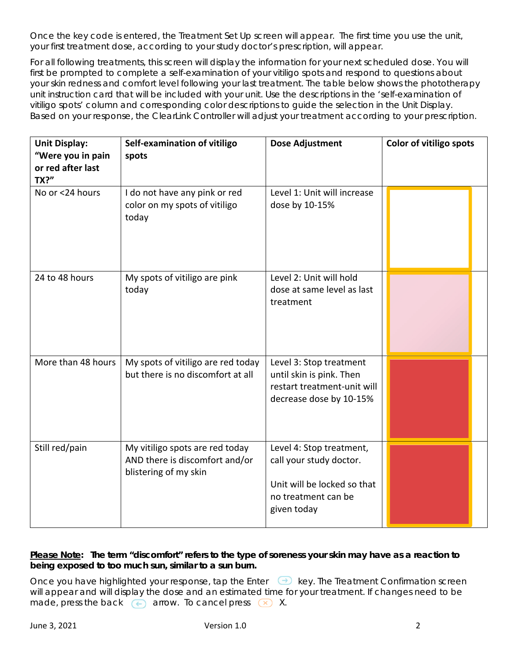Once the key code is entered, the Treatment Set Up screen will appear. The first time you use the unit, your first treatment dose, according to your study doctor's prescription, will appear.

For all following treatments, this screen will display the information for your next scheduled dose. You will first be prompted to complete a self-examination of your vitiligo spots and respond to questions about your skin redness and comfort level following your last treatment. The table below shows the *phototherapy unit instruction card* that will be included with your unit. Use the descriptions in the 'self-examination of vitiligo spots' column and corresponding color descriptions to guide the selection in the Unit Display. Based on your response, the ClearLink Controller will adjust your treatment according to your prescription.

| <b>Unit Display:</b><br>"Were you in pain<br>or red after last<br><b>TX?"</b> | Self-examination of vitiligo<br>spots                                                      | Dose Adjustment                                                                                                          | Color of vitiligo spots |
|-------------------------------------------------------------------------------|--------------------------------------------------------------------------------------------|--------------------------------------------------------------------------------------------------------------------------|-------------------------|
| No or <24 hours                                                               | I do not have any pink or red<br>color on my spots of vitiligo<br>today                    | Level 1: Unit will increase<br>dose by 10-15%                                                                            |                         |
| 24 to 48 hours                                                                | My spots of vitiligo are pink<br>today                                                     | Level 2: Unit will hold<br>dose at same level as last<br>treatment                                                       |                         |
| More than 48 hours                                                            | My spots of vitiligo are red today<br>but there is no discomfort at all                    | Level 3: Stop treatment<br>until skin is pink. Then<br>restart treatment-unit will<br>decrease dose by 10-15%            |                         |
| Still red/pain                                                                | My vitiligo spots are red today<br>AND there is discomfort and/or<br>blistering of my skin | Level 4: Stop treatment,<br>call your study doctor.<br>Unit will be locked so that<br>no treatment can be<br>given today |                         |

# **Please Note: The term "discomfort" refers to the type of soreness your skin may have as a reaction to being exposed to too much sun, similar to a sun burn.**

Once you have highlighted your response, tap the Enter all key. The Treatment Confirmation screen will appear and will display the dose and an estimated time for your treatment. If changes need to be made, press the back  $\left( \leftarrow \right)$  arrow. To cancel press  $\left( \times \right)$  X.